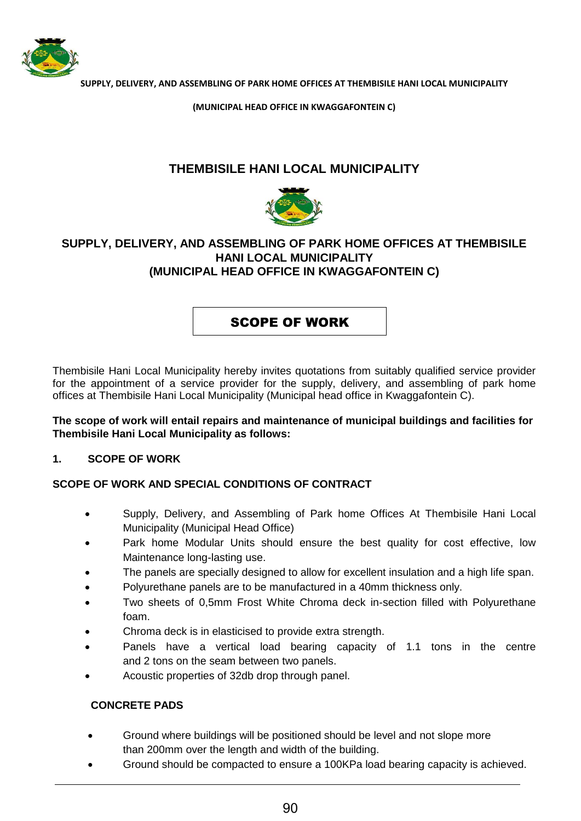

**(MUNICIPAL HEAD OFFICE IN KWAGGAFONTEIN C)**

# **THEMBISILE HANI LOCAL MUNICIPALITY**



## **SUPPLY, DELIVERY, AND ASSEMBLING OF PARK HOME OFFICES AT THEMBISILE HANI LOCAL MUNICIPALITY (MUNICIPAL HEAD OFFICE IN KWAGGAFONTEIN C)**

# SCOPE OF WORK

Thembisile Hani Local Municipality hereby invites quotations from suitably qualified service provider for the appointment of a service provider for the supply, delivery, and assembling of park home offices at Thembisile Hani Local Municipality (Municipal head office in Kwaggafontein C).

## **The scope of work will entail repairs and maintenance of municipal buildings and facilities for Thembisile Hani Local Municipality as follows:**

### **1. SCOPE OF WORK**

## **SCOPE OF WORK AND SPECIAL CONDITIONS OF CONTRACT**

- Supply, Delivery, and Assembling of Park home Offices At Thembisile Hani Local Municipality (Municipal Head Office)
- Park home Modular Units should ensure the best quality for cost effective, low Maintenance long-lasting use.
- The panels are specially designed to allow for excellent insulation and a high life span.
- Polyurethane panels are to be manufactured in a 40mm thickness only.
- Two sheets of 0,5mm Frost White Chroma deck in-section filled with Polyurethane foam.
- Chroma deck is in elasticised to provide extra strength.
- Panels have a vertical load bearing capacity of 1.1 tons in the centre and 2 tons on the seam between two panels.
- Acoustic properties of 32db drop through panel.

### **CONCRETE PADS**

- Ground where buildings will be positioned should be level and not slope more than 200mm over the length and width of the building.
- Ground should be compacted to ensure a 100KPa load bearing capacity is achieved.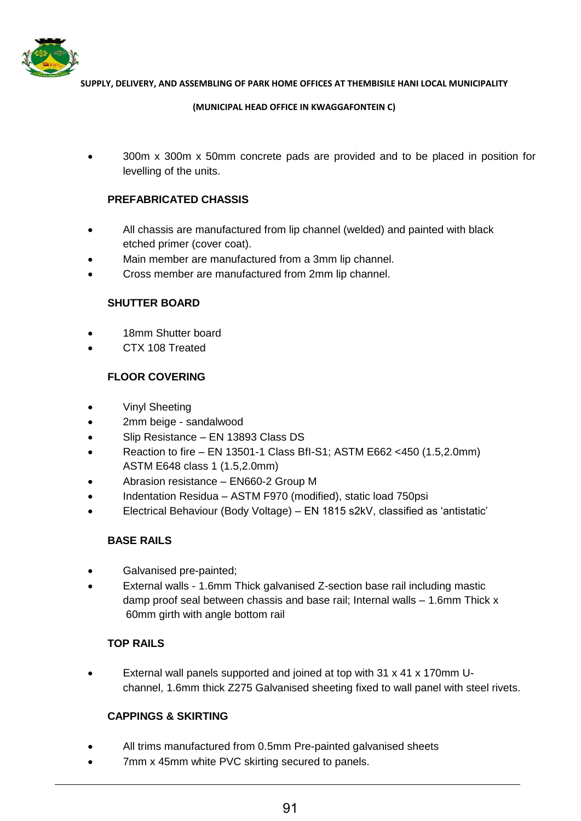

**(MUNICIPAL HEAD OFFICE IN KWAGGAFONTEIN C)**

 300m x 300m x 50mm concrete pads are provided and to be placed in position for levelling of the units.

## **PREFABRICATED CHASSIS**

- All chassis are manufactured from lip channel (welded) and painted with black etched primer (cover coat).
- Main member are manufactured from a 3mm lip channel.
- Cross member are manufactured from 2mm lip channel.

### **SHUTTER BOARD**

- 18mm Shutter board
- CTX 108 Treated

## **FLOOR COVERING**

- Vinyl Sheeting
- 2mm beige sandalwood
- Slip Resistance EN 13893 Class DS
- Reaction to fire EN 13501-1 Class BfI-S1; ASTM E662 <450 (1.5,2.0mm) ASTM E648 class 1 (1.5,2.0mm)
- Abrasion resistance EN660-2 Group M
- Indentation Residua ASTM F970 (modified), static load 750psi
- Electrical Behaviour (Body Voltage) EN 1815 s2kV, classified as 'antistatic'

### **BASE RAILS**

- Galvanised pre-painted;
- External walls 1.6mm Thick galvanised Z-section base rail including mastic damp proof seal between chassis and base rail; Internal walls – 1.6mm Thick x 60mm girth with angle bottom rail

### **TOP RAILS**

 External wall panels supported and joined at top with 31 x 41 x 170mm Uchannel, 1.6mm thick Z275 Galvanised sheeting fixed to wall panel with steel rivets.

## **CAPPINGS & SKIRTING**

- All trims manufactured from 0.5mm Pre-painted galvanised sheets
- 7mm x 45mm white PVC skirting secured to panels.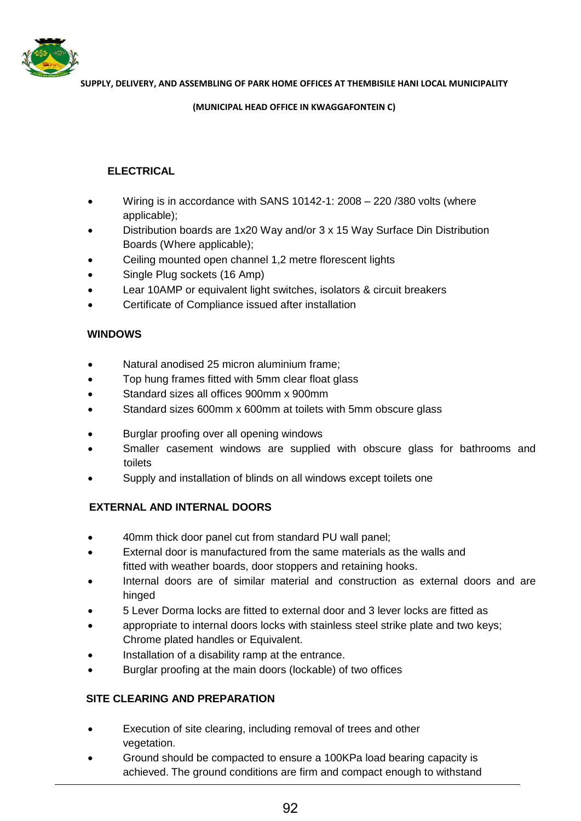

**(MUNICIPAL HEAD OFFICE IN KWAGGAFONTEIN C)**

## **ELECTRICAL**

- Wiring is in accordance with SANS 10142-1: 2008 220 /380 volts (where applicable);
- Distribution boards are 1x20 Way and/or 3 x 15 Way Surface Din Distribution Boards (Where applicable);
- Ceiling mounted open channel 1,2 metre florescent lights
- Single Plug sockets (16 Amp)
- Lear 10AMP or equivalent light switches, isolators & circuit breakers
- Certificate of Compliance issued after installation

## **WINDOWS**

- Natural anodised 25 micron aluminium frame;
- Top hung frames fitted with 5mm clear float glass
- Standard sizes all offices 900mm x 900mm
- Standard sizes 600mm x 600mm at toilets with 5mm obscure glass
- Burglar proofing over all opening windows
- Smaller casement windows are supplied with obscure glass for bathrooms and toilets
- Supply and installation of blinds on all windows except toilets one

## **EXTERNAL AND INTERNAL DOORS**

- 40mm thick door panel cut from standard PU wall panel;
- External door is manufactured from the same materials as the walls and fitted with weather boards, door stoppers and retaining hooks.
- Internal doors are of similar material and construction as external doors and are hinged
- 5 Lever Dorma locks are fitted to external door and 3 lever locks are fitted as
- appropriate to internal doors locks with stainless steel strike plate and two keys; Chrome plated handles or Equivalent.
- Installation of a disability ramp at the entrance.
- Burglar proofing at the main doors (lockable) of two offices

## **SITE CLEARING AND PREPARATION**

- Execution of site clearing, including removal of trees and other vegetation.
- Ground should be compacted to ensure a 100KPa load bearing capacity is achieved. The ground conditions are firm and compact enough to withstand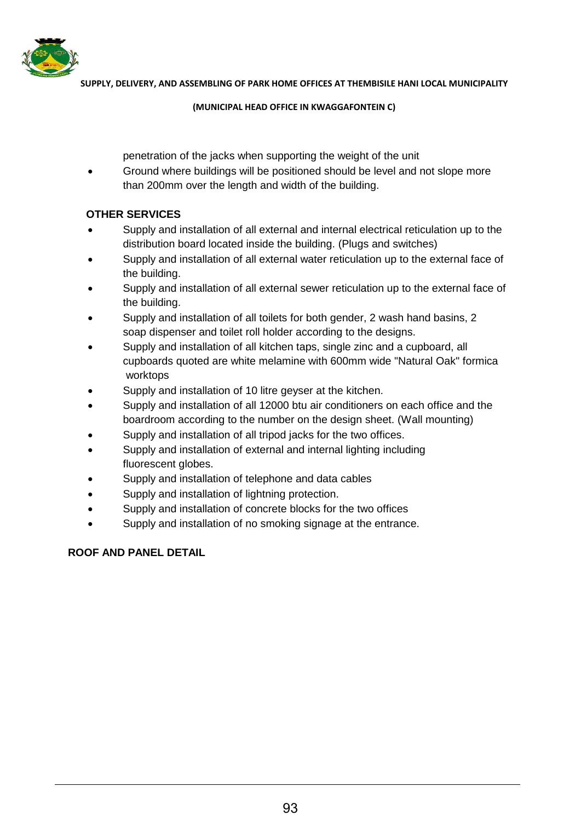

#### **(MUNICIPAL HEAD OFFICE IN KWAGGAFONTEIN C)**

penetration of the jacks when supporting the weight of the unit

 Ground where buildings will be positioned should be level and not slope more than 200mm over the length and width of the building.

## **OTHER SERVICES**

- Supply and installation of all external and internal electrical reticulation up to the distribution board located inside the building. (Plugs and switches)
- Supply and installation of all external water reticulation up to the external face of the building.
- Supply and installation of all external sewer reticulation up to the external face of the building.
- Supply and installation of all toilets for both gender, 2 wash hand basins, 2 soap dispenser and toilet roll holder according to the designs.
- Supply and installation of all kitchen taps, single zinc and a cupboard, all cupboards quoted are white melamine with 600mm wide "Natural Oak" formica worktops
- Supply and installation of 10 litre geyser at the kitchen.
- Supply and installation of all 12000 btu air conditioners on each office and the boardroom according to the number on the design sheet. (Wall mounting)
- Supply and installation of all tripod jacks for the two offices.
- Supply and installation of external and internal lighting including fluorescent globes.
- Supply and installation of telephone and data cables
- Supply and installation of lightning protection.
- Supply and installation of concrete blocks for the two offices
- Supply and installation of no smoking signage at the entrance.

## **ROOF AND PANEL DETAIL**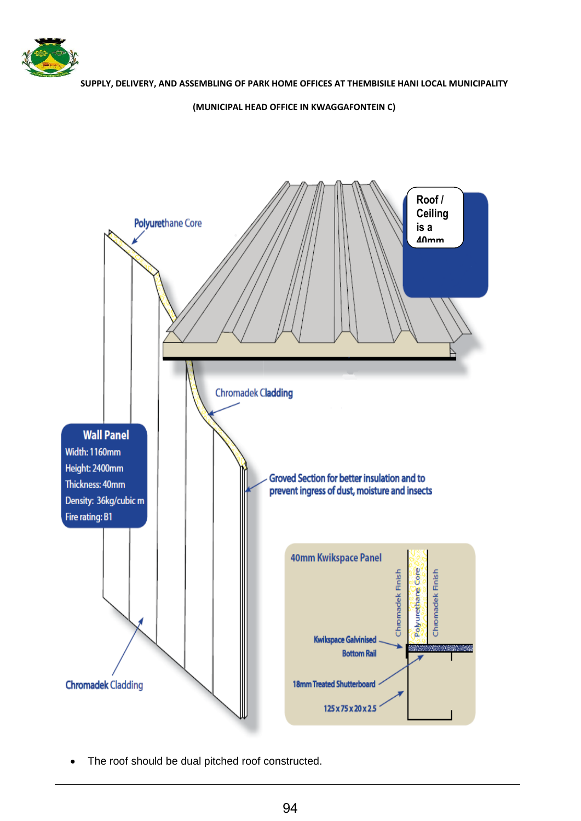

#### **(MUNICIPAL HEAD OFFICE IN KWAGGAFONTEIN C)**



• The roof should be dual pitched roof constructed.